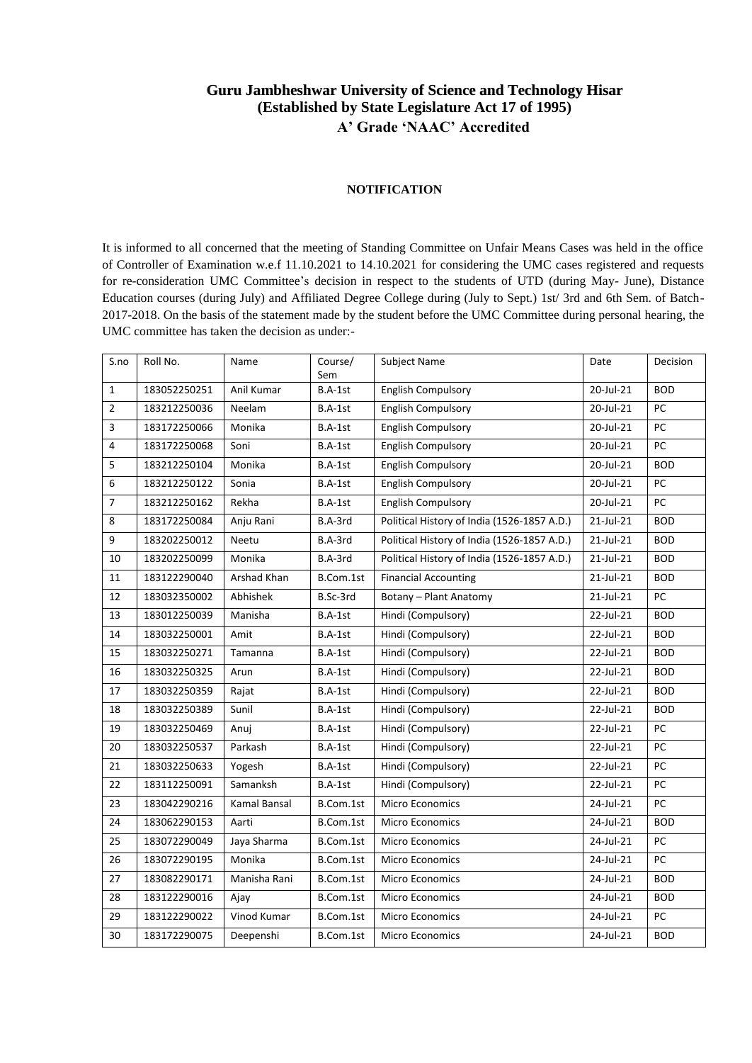### **Guru Jambheshwar University of Science and Technology Hisar (Established by State Legislature Act 17 of 1995) A' Grade 'NAAC' Accredited**

#### **NOTIFICATION**

It is informed to all concerned that the meeting of Standing Committee on Unfair Means Cases was held in the office of Controller of Examination w.e.f 11.10.2021 to 14.10.2021 for considering the UMC cases registered and requests for re-consideration UMC Committee's decision in respect to the students of UTD (during May- June), Distance Education courses (during July) and Affiliated Degree College during (July to Sept.) 1st/ 3rd and 6th Sem. of Batch-2017-2018. On the basis of the statement made by the student before the UMC Committee during personal hearing, the UMC committee has taken the decision as under:-

| S.no             | Roll No.     | Name         | Course/<br>Sem | Subject Name                                | Date      | Decision        |
|------------------|--------------|--------------|----------------|---------------------------------------------|-----------|-----------------|
| $\mathbf{1}$     | 183052250251 | Anil Kumar   | B.A-1st        | <b>English Compulsory</b>                   | 20-Jul-21 | <b>BOD</b>      |
| $\overline{2}$   | 183212250036 | Neelam       | $B.A-1st$      | <b>English Compulsory</b>                   | 20-Jul-21 | PC              |
| 3                | 183172250066 | Monika       | B.A-1st        | <b>English Compulsory</b>                   | 20-Jul-21 | PC              |
| 4                | 183172250068 | Soni         | B.A-1st        | <b>English Compulsory</b>                   | 20-Jul-21 | PC              |
| 5                | 183212250104 | Monika       | B.A-1st        | <b>English Compulsory</b>                   | 20-Jul-21 | <b>BOD</b>      |
| $\boldsymbol{6}$ | 183212250122 | Sonia        | B.A-1st        | <b>English Compulsory</b>                   | 20-Jul-21 | PC              |
| $\overline{7}$   | 183212250162 | Rekha        | B.A-1st        | <b>English Compulsory</b>                   | 20-Jul-21 | PC              |
| 8                | 183172250084 | Anju Rani    | B.A-3rd        | Political History of India (1526-1857 A.D.) | 21-Jul-21 | <b>BOD</b>      |
| 9                | 183202250012 | Neetu        | B.A-3rd        | Political History of India (1526-1857 A.D.) | 21-Jul-21 | <b>BOD</b>      |
| 10               | 183202250099 | Monika       | B.A-3rd        | Political History of India (1526-1857 A.D.) | 21-Jul-21 | <b>BOD</b>      |
| 11               | 183122290040 | Arshad Khan  | B.Com.1st      | <b>Financial Accounting</b>                 | 21-Jul-21 | <b>BOD</b>      |
| 12               | 183032350002 | Abhishek     | B.Sc-3rd       | Botany - Plant Anatomy                      | 21-Jul-21 | $\overline{PC}$ |
| 13               | 183012250039 | Manisha      | B.A-1st        | Hindi (Compulsory)<br>22-Jul-21             |           | <b>BOD</b>      |
| 14               | 183032250001 | Amit         | B.A-1st        | Hindi (Compulsory)                          | 22-Jul-21 | <b>BOD</b>      |
| 15               | 183032250271 | Tamanna      | B.A-1st        | Hindi (Compulsory)                          | 22-Jul-21 | <b>BOD</b>      |
| 16               | 183032250325 | Arun         | B.A-1st        | Hindi (Compulsory)                          | 22-Jul-21 | <b>BOD</b>      |
| 17               | 183032250359 | Rajat        | B.A-1st        | Hindi (Compulsory)                          | 22-Jul-21 | <b>BOD</b>      |
| 18               | 183032250389 | Sunil        | B.A-1st        | Hindi (Compulsory)                          | 22-Jul-21 | <b>BOD</b>      |
| 19               | 183032250469 | Anuj         | B.A-1st        | Hindi (Compulsory)                          | 22-Jul-21 | PC              |
| 20               | 183032250537 | Parkash      | B.A-1st        | Hindi (Compulsory)                          | 22-Jul-21 | PC              |
| 21               | 183032250633 | Yogesh       | B.A-1st        | Hindi (Compulsory)                          | 22-Jul-21 | PC              |
| 22               | 183112250091 | Samanksh     | B.A-1st        | Hindi (Compulsory)                          | 22-Jul-21 | PC              |
| 23               | 183042290216 | Kamal Bansal | B.Com.1st      | Micro Economics                             | 24-Jul-21 | $\overline{PC}$ |
| 24               | 183062290153 | Aarti        | B.Com.1st      | Micro Economics                             | 24-Jul-21 | <b>BOD</b>      |
| 25               | 183072290049 | Jaya Sharma  | B.Com.1st      | Micro Economics                             | 24-Jul-21 | PC              |
| 26               | 183072290195 | Monika       | B.Com.1st      | Micro Economics                             | 24-Jul-21 | PC              |
| 27               | 183082290171 | Manisha Rani | B.Com.1st      | Micro Economics                             | 24-Jul-21 | <b>BOD</b>      |
| 28               | 183122290016 | Ajay         | B.Com.1st      | Micro Economics                             | 24-Jul-21 | <b>BOD</b>      |
| 29               | 183122290022 | Vinod Kumar  | B.Com.1st      | Micro Economics                             | 24-Jul-21 | PC              |
| 30               | 183172290075 | Deepenshi    | B.Com.1st      | Micro Economics                             | 24-Jul-21 | <b>BOD</b>      |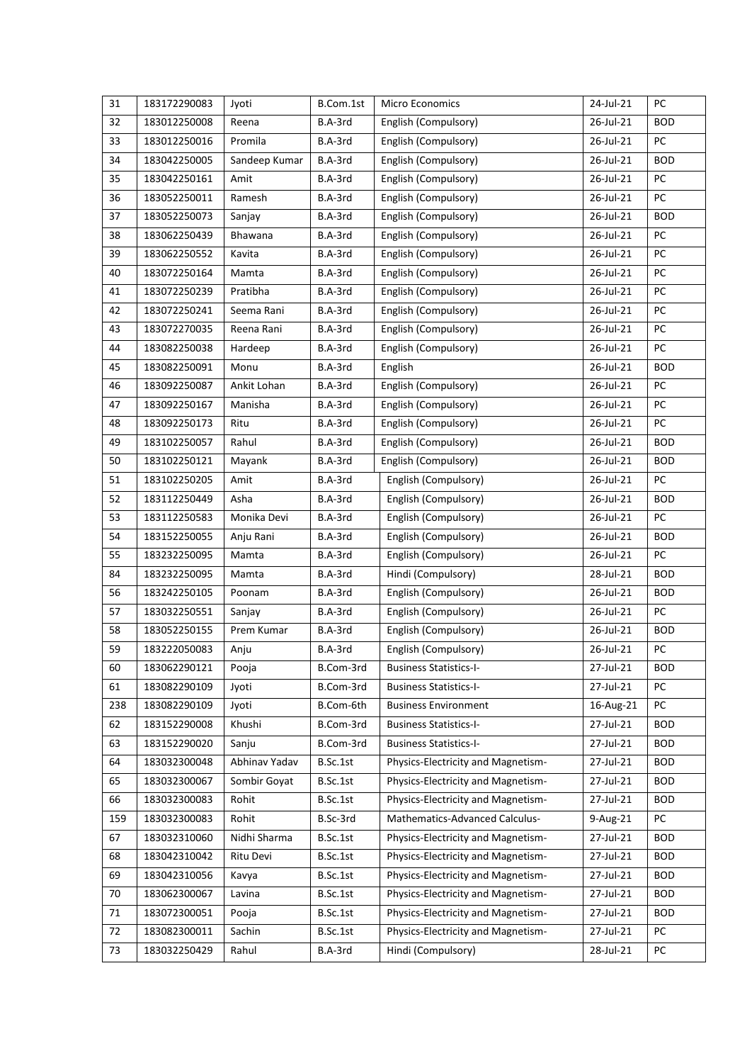| 31  | 183172290083 | Jyoti         | B.Com.1st | <b>Micro Economics</b>             | 24-Jul-21 | PC         |
|-----|--------------|---------------|-----------|------------------------------------|-----------|------------|
| 32  | 183012250008 | Reena         | B.A-3rd   | English (Compulsory)               | 26-Jul-21 | <b>BOD</b> |
| 33  | 183012250016 | Promila       | B.A-3rd   | English (Compulsory)               | 26-Jul-21 | PC         |
| 34  | 183042250005 | Sandeep Kumar | B.A-3rd   | English (Compulsory)               | 26-Jul-21 | <b>BOD</b> |
| 35  | 183042250161 | Amit          | B.A-3rd   | English (Compulsory)               | 26-Jul-21 | PC         |
| 36  | 183052250011 | Ramesh        | B.A-3rd   | English (Compulsory)               | 26-Jul-21 | PC         |
| 37  | 183052250073 | Sanjay        | B.A-3rd   | English (Compulsory)               | 26-Jul-21 | <b>BOD</b> |
| 38  | 183062250439 | Bhawana       | B.A-3rd   | English (Compulsory)               | 26-Jul-21 | PC         |
| 39  | 183062250552 | Kavita        | B.A-3rd   | English (Compulsory)               | 26-Jul-21 | PC         |
| 40  | 183072250164 | Mamta         | B.A-3rd   | English (Compulsory)               | 26-Jul-21 | PC         |
| 41  | 183072250239 | Pratibha      | B.A-3rd   | English (Compulsory)               | 26-Jul-21 | PC         |
| 42  | 183072250241 | Seema Rani    | B.A-3rd   | English (Compulsory)               | 26-Jul-21 | PC         |
| 43  | 183072270035 | Reena Rani    | B.A-3rd   | English (Compulsory)               | 26-Jul-21 | PC         |
| 44  | 183082250038 | Hardeep       | B.A-3rd   | English (Compulsory)               | 26-Jul-21 | PC         |
| 45  | 183082250091 | Monu          | B.A-3rd   | English                            | 26-Jul-21 | <b>BOD</b> |
| 46  | 183092250087 | Ankit Lohan   | B.A-3rd   | English (Compulsory)               | 26-Jul-21 | PC         |
| 47  | 183092250167 | Manisha       | B.A-3rd   | English (Compulsory)               | 26-Jul-21 | PC         |
| 48  | 183092250173 | Ritu          | B.A-3rd   | English (Compulsory)               | 26-Jul-21 | PC         |
| 49  | 183102250057 | Rahul         | B.A-3rd   | English (Compulsory)               | 26-Jul-21 | <b>BOD</b> |
| 50  | 183102250121 | Mayank        | B.A-3rd   | English (Compulsory)               | 26-Jul-21 | <b>BOD</b> |
| 51  | 183102250205 | Amit          | B.A-3rd   | English (Compulsory)               | 26-Jul-21 | PC         |
| 52  | 183112250449 | Asha          | B.A-3rd   | English (Compulsory)               | 26-Jul-21 | <b>BOD</b> |
| 53  | 183112250583 | Monika Devi   | B.A-3rd   | English (Compulsory)               | 26-Jul-21 | PC         |
| 54  | 183152250055 | Anju Rani     | B.A-3rd   | English (Compulsory)               | 26-Jul-21 | <b>BOD</b> |
| 55  | 183232250095 | Mamta         | B.A-3rd   | English (Compulsory)               | 26-Jul-21 | PC         |
| 84  | 183232250095 | Mamta         | B.A-3rd   | Hindi (Compulsory)                 | 28-Jul-21 | <b>BOD</b> |
| 56  | 183242250105 | Poonam        | B.A-3rd   | English (Compulsory)               | 26-Jul-21 | <b>BOD</b> |
| 57  | 183032250551 | Sanjay        | B.A-3rd   | English (Compulsory)               | 26-Jul-21 | PC         |
| 58  | 183052250155 | Prem Kumar    | B.A-3rd   | English (Compulsory)               | 26-Jul-21 | <b>BOD</b> |
| 59  | 183222050083 | Anju          | B.A-3rd   | English (Compulsory)               | 26-Jul-21 | PC         |
| 60  | 183062290121 | Pooja         | B.Com-3rd | <b>Business Statistics-I-</b>      | 27-Jul-21 | <b>BOD</b> |
| 61  | 183082290109 | Jyoti         | B.Com-3rd | <b>Business Statistics-I-</b>      | 27-Jul-21 | PC         |
| 238 | 183082290109 | Jyoti         | B.Com-6th | <b>Business Environment</b>        | 16-Aug-21 | PC         |
| 62  | 183152290008 | Khushi        | B.Com-3rd | <b>Business Statistics-I-</b>      | 27-Jul-21 | <b>BOD</b> |
| 63  | 183152290020 | Sanju         | B.Com-3rd | <b>Business Statistics-I-</b>      | 27-Jul-21 | <b>BOD</b> |
| 64  | 183032300048 | Abhinav Yadav | B.Sc.1st  | Physics-Electricity and Magnetism- | 27-Jul-21 | <b>BOD</b> |
| 65  | 183032300067 | Sombir Goyat  | B.Sc.1st  | Physics-Electricity and Magnetism- | 27-Jul-21 | <b>BOD</b> |
| 66  | 183032300083 | Rohit         | B.Sc.1st  | Physics-Electricity and Magnetism- | 27-Jul-21 | <b>BOD</b> |
| 159 | 183032300083 | Rohit         | B.Sc-3rd  | Mathematics-Advanced Calculus-     | 9-Aug-21  | PC         |
| 67  | 183032310060 | Nidhi Sharma  | B.Sc.1st  | Physics-Electricity and Magnetism- | 27-Jul-21 | <b>BOD</b> |
| 68  | 183042310042 | Ritu Devi     | B.Sc.1st  | Physics-Electricity and Magnetism- | 27-Jul-21 | <b>BOD</b> |
| 69  | 183042310056 | Kavya         | B.Sc.1st  | Physics-Electricity and Magnetism- | 27-Jul-21 | <b>BOD</b> |
| 70  | 183062300067 | Lavina        | B.Sc.1st  | Physics-Electricity and Magnetism- | 27-Jul-21 | <b>BOD</b> |
| 71  | 183072300051 | Pooja         | B.Sc.1st  | Physics-Electricity and Magnetism- | 27-Jul-21 | <b>BOD</b> |
| 72  | 183082300011 | Sachin        | B.Sc.1st  | Physics-Electricity and Magnetism- | 27-Jul-21 | PC         |
| 73  | 183032250429 | Rahul         | B.A-3rd   | Hindi (Compulsory)                 | 28-Jul-21 | PC         |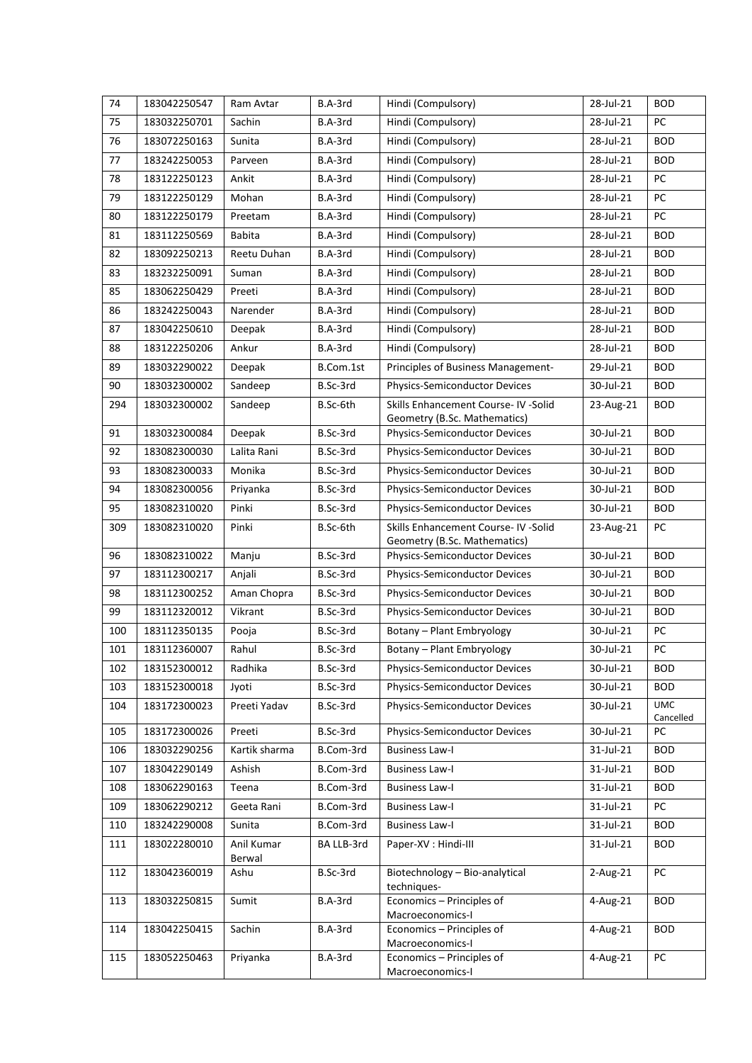| 74      | 183042250547 | Ram Avtar            | B.A-3rd    | Hindi (Compulsory)                                            | 28-Jul-21 | <b>BOD</b>              |
|---------|--------------|----------------------|------------|---------------------------------------------------------------|-----------|-------------------------|
| 75      | 183032250701 | Sachin               | B.A-3rd    | Hindi (Compulsory)                                            | 28-Jul-21 | PC                      |
| 76      | 183072250163 | Sunita               | B.A-3rd    | Hindi (Compulsory)                                            | 28-Jul-21 | <b>BOD</b>              |
| $77 \,$ | 183242250053 | Parveen              | B.A-3rd    | Hindi (Compulsory)                                            | 28-Jul-21 | <b>BOD</b>              |
| 78      | 183122250123 | Ankit                | B.A-3rd    | Hindi (Compulsory)                                            | 28-Jul-21 | PC                      |
| 79      | 183122250129 | Mohan                | B.A-3rd    | Hindi (Compulsory)                                            | 28-Jul-21 | PC                      |
| 80      | 183122250179 | Preetam              | B.A-3rd    | Hindi (Compulsory)                                            | 28-Jul-21 | PC                      |
| 81      | 183112250569 | <b>Babita</b>        | B.A-3rd    | Hindi (Compulsory)                                            | 28-Jul-21 | <b>BOD</b>              |
| 82      | 183092250213 | Reetu Duhan          | B.A-3rd    | Hindi (Compulsory)                                            | 28-Jul-21 | <b>BOD</b>              |
| 83      | 183232250091 | Suman                | B.A-3rd    | Hindi (Compulsory)                                            | 28-Jul-21 | <b>BOD</b>              |
| 85      | 183062250429 | Preeti               | B.A-3rd    | Hindi (Compulsory)                                            | 28-Jul-21 | <b>BOD</b>              |
| 86      | 183242250043 | Narender             | B.A-3rd    | Hindi (Compulsory)                                            | 28-Jul-21 | <b>BOD</b>              |
| 87      | 183042250610 | Deepak               | B.A-3rd    | Hindi (Compulsory)                                            | 28-Jul-21 | <b>BOD</b>              |
| 88      | 183122250206 | Ankur                | B.A-3rd    | Hindi (Compulsory)                                            | 28-Jul-21 | <b>BOD</b>              |
| 89      | 183032290022 | Deepak               | B.Com.1st  | Principles of Business Management-                            | 29-Jul-21 | <b>BOD</b>              |
| 90      | 183032300002 | Sandeep              | B.Sc-3rd   | Physics-Semiconductor Devices                                 | 30-Jul-21 | <b>BOD</b>              |
| 294     | 183032300002 | Sandeep              | B.Sc-6th   | Skills Enhancement Course- IV -Solid                          | 23-Aug-21 | <b>BOD</b>              |
| 91      | 183032300084 | Deepak               | B.Sc-3rd   | Geometry (B.Sc. Mathematics)<br>Physics-Semiconductor Devices | 30-Jul-21 | <b>BOD</b>              |
| 92      | 183082300030 | Lalita Rani          | B.Sc-3rd   | Physics-Semiconductor Devices                                 | 30-Jul-21 | <b>BOD</b>              |
| 93      | 183082300033 | Monika               | B.Sc-3rd   | Physics-Semiconductor Devices                                 | 30-Jul-21 | <b>BOD</b>              |
| 94      | 183082300056 | Priyanka             | B.Sc-3rd   | Physics-Semiconductor Devices                                 | 30-Jul-21 | <b>BOD</b>              |
| 95      | 183082310020 | Pinki                | B.Sc-3rd   | Physics-Semiconductor Devices                                 | 30-Jul-21 | <b>BOD</b>              |
| 309     | 183082310020 | Pinki                | B.Sc-6th   | Skills Enhancement Course- IV -Solid                          | 23-Aug-21 | PC                      |
|         |              |                      |            | Geometry (B.Sc. Mathematics)                                  |           |                         |
| 96      | 183082310022 | Manju                | B.Sc-3rd   | Physics-Semiconductor Devices                                 | 30-Jul-21 | <b>BOD</b>              |
| 97      | 183112300217 | Anjali               | B.Sc-3rd   | Physics-Semiconductor Devices                                 | 30-Jul-21 | <b>BOD</b>              |
| 98      | 183112300252 | Aman Chopra          | B.Sc-3rd   | Physics-Semiconductor Devices                                 | 30-Jul-21 | <b>BOD</b>              |
| 99      | 183112320012 | Vikrant              | B.Sc-3rd   | Physics-Semiconductor Devices                                 | 30-Jul-21 | <b>BOD</b>              |
| 100     | 183112350135 | Pooja                | B.Sc-3rd   | Botany - Plant Embryology                                     | 30-Jul-21 | PC                      |
| 101     | 183112360007 | Rahul                | B.Sc-3rd   | Botany - Plant Embryology                                     | 30-Jul-21 | PC                      |
| 102     | 183152300012 | Radhika              | B.Sc-3rd   | Physics-Semiconductor Devices                                 | 30-Jul-21 | <b>BOD</b>              |
| 103     | 183152300018 | Jyoti                | B.Sc-3rd   | <b>Physics-Semiconductor Devices</b>                          | 30-Jul-21 | <b>BOD</b>              |
| 104     | 183172300023 | Preeti Yadav         | B.Sc-3rd   | Physics-Semiconductor Devices                                 | 30-Jul-21 | <b>UMC</b><br>Cancelled |
| 105     | 183172300026 | Preeti               | B.Sc-3rd   | Physics-Semiconductor Devices                                 | 30-Jul-21 | PC                      |
| 106     | 183032290256 | Kartik sharma        | B.Com-3rd  | <b>Business Law-I</b>                                         | 31-Jul-21 | <b>BOD</b>              |
| 107     | 183042290149 | Ashish               | B.Com-3rd  | <b>Business Law-I</b>                                         | 31-Jul-21 | <b>BOD</b>              |
| 108     | 183062290163 | Teena                | B.Com-3rd  | <b>Business Law-I</b>                                         | 31-Jul-21 | <b>BOD</b>              |
| 109     | 183062290212 | Geeta Rani           | B.Com-3rd  | <b>Business Law-I</b>                                         | 31-Jul-21 | PC                      |
| 110     | 183242290008 | Sunita               | B.Com-3rd  | <b>Business Law-I</b>                                         | 31-Jul-21 | <b>BOD</b>              |
| 111     | 183022280010 | Anil Kumar<br>Berwal | BA LLB-3rd | Paper-XV : Hindi-III                                          | 31-Jul-21 | <b>BOD</b>              |
| 112     | 183042360019 | Ashu                 | B.Sc-3rd   | Biotechnology - Bio-analytical<br>techniques-                 | 2-Aug-21  | PC                      |
| 113     | 183032250815 | Sumit                | B.A-3rd    | Economics - Principles of<br>Macroeconomics-I                 | 4-Aug-21  | <b>BOD</b>              |
| 114     | 183042250415 | Sachin               | B.A-3rd    | Economics - Principles of<br>Macroeconomics-I                 | 4-Aug-21  | <b>BOD</b>              |
| 115     | 183052250463 | Priyanka             | B.A-3rd    | Economics - Principles of<br>Macroeconomics-I                 | 4-Aug-21  | ${\sf PC}$              |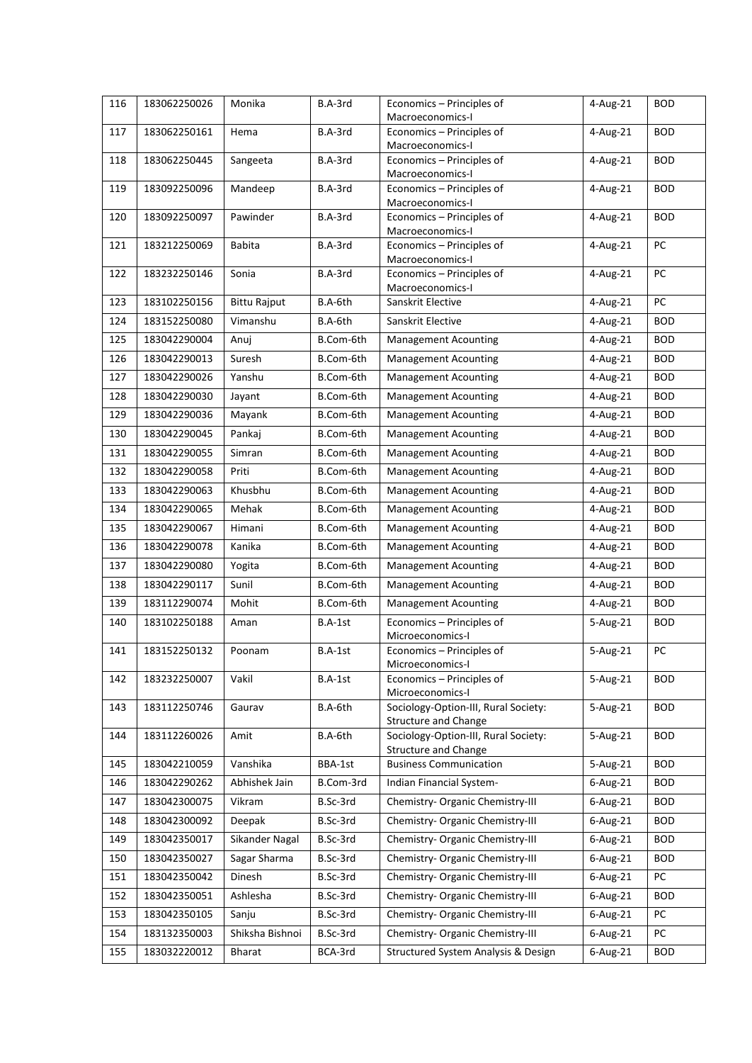| 116 | 183062250026 | Monika              | B.A-3rd   | Economics - Principles of                                           | 4-Aug-21               | <b>BOD</b> |
|-----|--------------|---------------------|-----------|---------------------------------------------------------------------|------------------------|------------|
|     |              |                     |           | Macroeconomics-I                                                    |                        |            |
| 117 | 183062250161 | Hema                | B.A-3rd   | Economics - Principles of                                           | 4-Aug-21               | <b>BOD</b> |
| 118 | 183062250445 |                     | B.A-3rd   | Macroeconomics-I<br>Economics - Principles of                       | $\overline{4}$ -Aug-21 | <b>BOD</b> |
|     |              | Sangeeta            |           | Macroeconomics-I                                                    |                        |            |
| 119 | 183092250096 | Mandeep             | B.A-3rd   | Economics - Principles of                                           | 4-Aug-21               | <b>BOD</b> |
|     |              |                     |           | Macroeconomics-I                                                    |                        |            |
| 120 | 183092250097 | Pawinder            | B.A-3rd   | Economics - Principles of<br>Macroeconomics-I                       | 4-Aug-21               | <b>BOD</b> |
| 121 | 183212250069 | <b>Babita</b>       | B.A-3rd   | Economics - Principles of                                           | 4-Aug-21               | PC         |
|     |              |                     |           | Macroeconomics-I                                                    |                        |            |
| 122 | 183232250146 | Sonia               | B.A-3rd   | Economics - Principles of                                           | 4-Aug-21               | PC         |
|     |              |                     |           | Macroeconomics-I                                                    |                        |            |
| 123 | 183102250156 | <b>Bittu Rajput</b> | B.A-6th   | Sanskrit Elective                                                   | 4-Aug-21               | PC         |
| 124 | 183152250080 | Vimanshu            | B.A-6th   | Sanskrit Elective                                                   | 4-Aug-21               | <b>BOD</b> |
| 125 | 183042290004 | Anuj                | B.Com-6th | <b>Management Acounting</b>                                         | 4-Aug-21               | <b>BOD</b> |
| 126 | 183042290013 | Suresh              | B.Com-6th | <b>Management Acounting</b>                                         | 4-Aug-21               | <b>BOD</b> |
| 127 | 183042290026 | Yanshu              | B.Com-6th | <b>Management Acounting</b>                                         | 4-Aug-21               | <b>BOD</b> |
| 128 | 183042290030 | Jayant              | B.Com-6th | <b>Management Acounting</b>                                         | 4-Aug-21               | <b>BOD</b> |
| 129 | 183042290036 | Mayank              | B.Com-6th | <b>Management Acounting</b>                                         | 4-Aug-21               | <b>BOD</b> |
| 130 | 183042290045 | Pankaj              | B.Com-6th | <b>Management Acounting</b>                                         | 4-Aug-21               | <b>BOD</b> |
| 131 | 183042290055 | Simran              | B.Com-6th | <b>Management Acounting</b>                                         | 4-Aug-21               | <b>BOD</b> |
| 132 | 183042290058 | Priti               | B.Com-6th | <b>Management Acounting</b>                                         | 4-Aug-21               | <b>BOD</b> |
| 133 | 183042290063 | Khusbhu             | B.Com-6th | <b>Management Acounting</b>                                         | 4-Aug-21               | <b>BOD</b> |
| 134 | 183042290065 | Mehak               | B.Com-6th | <b>Management Acounting</b>                                         | 4-Aug-21               | <b>BOD</b> |
| 135 | 183042290067 | Himani              | B.Com-6th | <b>Management Acounting</b>                                         | 4-Aug-21               | <b>BOD</b> |
| 136 | 183042290078 | Kanika              | B.Com-6th | <b>Management Acounting</b>                                         | 4-Aug-21               | <b>BOD</b> |
| 137 | 183042290080 | Yogita              | B.Com-6th | <b>Management Acounting</b>                                         | 4-Aug-21               | <b>BOD</b> |
| 138 | 183042290117 | Sunil               | B.Com-6th | <b>Management Acounting</b>                                         | 4-Aug-21               | <b>BOD</b> |
| 139 | 183112290074 | Mohit               | B.Com-6th | <b>Management Acounting</b>                                         | 4-Aug-21               | <b>BOD</b> |
| 140 | 183102250188 | Aman                | B.A-1st   | Economics - Principles of<br>Microeconomics-I                       | 5-Aug-21               | <b>BOD</b> |
| 141 | 183152250132 | Poonam              | B.A-1st   | Economics - Principles of                                           | 5-Aug-21               | PC         |
|     |              |                     |           | Microeconomics-I                                                    |                        |            |
| 142 | 183232250007 | Vakil               | B.A-1st   | Economics - Principles of<br>Microeconomics-I                       | 5-Aug-21               | <b>BOD</b> |
| 143 | 183112250746 | Gaurav              | B.A-6th   | Sociology-Option-III, Rural Society:                                | 5-Aug-21               | <b>BOD</b> |
|     |              |                     |           | <b>Structure and Change</b>                                         |                        |            |
| 144 | 183112260026 | Amit                | B.A-6th   | Sociology-Option-III, Rural Society:<br><b>Structure and Change</b> | 5-Aug-21               | <b>BOD</b> |
| 145 | 183042210059 | Vanshika            | BBA-1st   | <b>Business Communication</b>                                       | 5-Aug-21               | <b>BOD</b> |
| 146 | 183042290262 | Abhishek Jain       | B.Com-3rd | Indian Financial System-                                            | $6$ -Aug-21            | <b>BOD</b> |
| 147 | 183042300075 | Vikram              | B.Sc-3rd  | Chemistry- Organic Chemistry-III                                    | $6$ -Aug-21            | <b>BOD</b> |
| 148 | 183042300092 | Deepak              | B.Sc-3rd  | Chemistry- Organic Chemistry-III                                    | 6-Aug-21               | <b>BOD</b> |
| 149 | 183042350017 | Sikander Nagal      | B.Sc-3rd  | Chemistry- Organic Chemistry-III                                    | 6-Aug-21               | <b>BOD</b> |
| 150 | 183042350027 | Sagar Sharma        | B.Sc-3rd  | Chemistry- Organic Chemistry-III                                    | $6 - Aug-21$           | <b>BOD</b> |
| 151 | 183042350042 | Dinesh              | B.Sc-3rd  | Chemistry- Organic Chemistry-III                                    | $6 - Aug-21$           | PC         |
| 152 | 183042350051 | Ashlesha            | B.Sc-3rd  | Chemistry- Organic Chemistry-III                                    | 6-Aug-21               | <b>BOD</b> |
| 153 | 183042350105 | Sanju               | B.Sc-3rd  | Chemistry- Organic Chemistry-III                                    | $6 - Aug-21$           | PC         |
| 154 | 183132350003 | Shiksha Bishnoi     | B.Sc-3rd  | Chemistry- Organic Chemistry-III                                    | 6-Aug-21               | PC         |
| 155 | 183032220012 | <b>Bharat</b>       | BCA-3rd   | Structured System Analysis & Design                                 | 6-Aug-21               | <b>BOD</b> |
|     |              |                     |           |                                                                     |                        |            |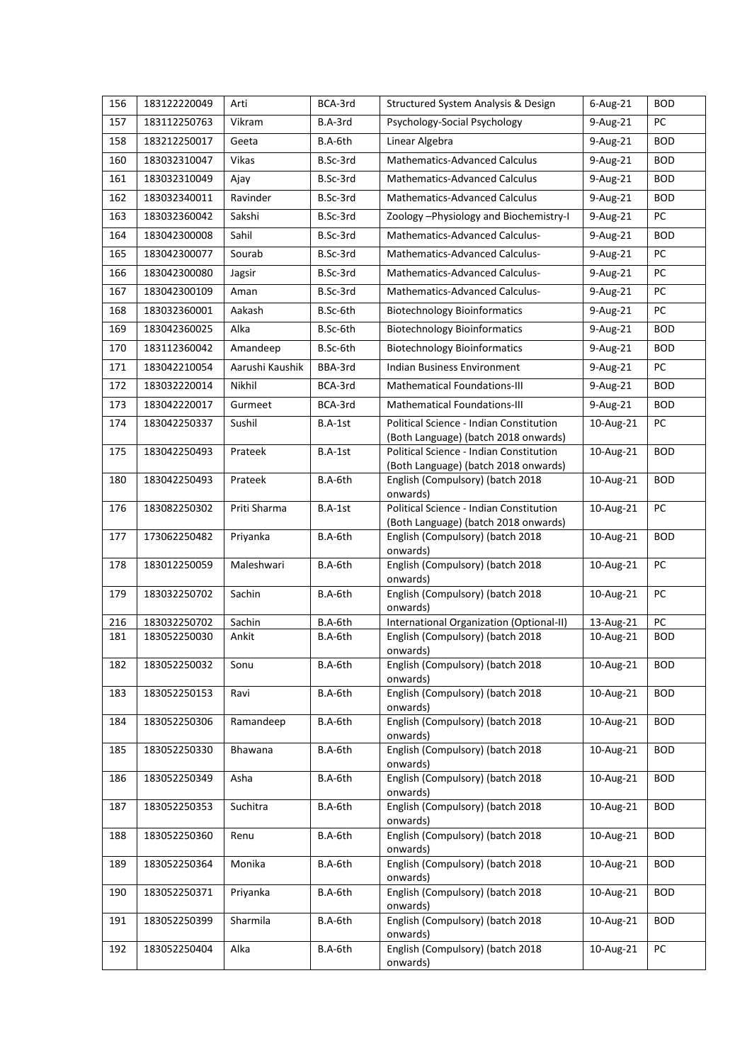| 156 | 183122220049 | Arti            | BCA-3rd  | Structured System Analysis & Design                                             | 6-Aug-21  | <b>BOD</b> |
|-----|--------------|-----------------|----------|---------------------------------------------------------------------------------|-----------|------------|
| 157 | 183112250763 | Vikram          | B.A-3rd  | Psychology-Social Psychology                                                    | 9-Aug-21  | PC         |
| 158 | 183212250017 | Geeta           | B.A-6th  | Linear Algebra                                                                  | 9-Aug-21  | <b>BOD</b> |
| 160 | 183032310047 | Vikas           | B.Sc-3rd | <b>Mathematics-Advanced Calculus</b>                                            | 9-Aug-21  | <b>BOD</b> |
| 161 | 183032310049 | Ajay            | B.Sc-3rd | <b>Mathematics-Advanced Calculus</b>                                            | 9-Aug-21  | <b>BOD</b> |
| 162 | 183032340011 | Ravinder        | B.Sc-3rd | <b>Mathematics-Advanced Calculus</b>                                            | 9-Aug-21  | <b>BOD</b> |
| 163 | 183032360042 | Sakshi          | B.Sc-3rd | Zoology - Physiology and Biochemistry-I                                         | 9-Aug-21  | PC         |
| 164 | 183042300008 | Sahil           | B.Sc-3rd | <b>Mathematics-Advanced Calculus-</b>                                           | 9-Aug-21  | <b>BOD</b> |
| 165 | 183042300077 | Sourab          | B.Sc-3rd | Mathematics-Advanced Calculus-                                                  | 9-Aug-21  | PC         |
| 166 | 183042300080 | Jagsir          | B.Sc-3rd | Mathematics-Advanced Calculus-                                                  | 9-Aug-21  | PC         |
| 167 | 183042300109 | Aman            | B.Sc-3rd | Mathematics-Advanced Calculus-                                                  | 9-Aug-21  | PC         |
| 168 | 183032360001 | Aakash          | B.Sc-6th | <b>Biotechnology Bioinformatics</b>                                             | 9-Aug-21  | PC         |
| 169 | 183042360025 | Alka            | B.Sc-6th | <b>Biotechnology Bioinformatics</b>                                             | 9-Aug-21  | <b>BOD</b> |
| 170 | 183112360042 | Amandeep        | B.Sc-6th | <b>Biotechnology Bioinformatics</b>                                             | 9-Aug-21  | <b>BOD</b> |
| 171 | 183042210054 | Aarushi Kaushik | BBA-3rd  | Indian Business Environment                                                     | 9-Aug-21  | PC         |
| 172 | 183032220014 | Nikhil          | BCA-3rd  | Mathematical Foundations-III                                                    | 9-Aug-21  | <b>BOD</b> |
| 173 | 183042220017 | Gurmeet         | BCA-3rd  | Mathematical Foundations-III                                                    | 9-Aug-21  | <b>BOD</b> |
| 174 | 183042250337 | Sushil          | B.A-1st  | Political Science - Indian Constitution                                         | 10-Aug-21 | PC         |
| 175 | 183042250493 | Prateek         | B.A-1st  | (Both Language) (batch 2018 onwards)<br>Political Science - Indian Constitution | 10-Aug-21 | <b>BOD</b> |
|     |              |                 |          | (Both Language) (batch 2018 onwards)                                            |           |            |
| 180 | 183042250493 | Prateek         | B.A-6th  | English (Compulsory) (batch 2018<br>onwards)                                    | 10-Aug-21 | <b>BOD</b> |
| 176 | 183082250302 | Priti Sharma    | B.A-1st  | Political Science - Indian Constitution<br>(Both Language) (batch 2018 onwards) | 10-Aug-21 | PC         |
| 177 | 173062250482 | Priyanka        | B.A-6th  | English (Compulsory) (batch 2018<br>onwards)                                    | 10-Aug-21 | <b>BOD</b> |
| 178 | 183012250059 | Maleshwari      | B.A-6th  | English (Compulsory) (batch 2018<br>onwards)                                    | 10-Aug-21 | PC         |
| 179 | 183032250702 | Sachin          | B.A-6th  | English (Compulsory) (batch 2018<br>onwards)                                    | 10-Aug-21 | PC         |
| 216 | 183032250702 | Sachin          | B.A-6th  | International Organization (Optional-II)                                        | 13-Aug-21 | PC         |
| 181 | 183052250030 | Ankit           | B.A-6th  | English (Compulsory) (batch 2018<br>onwards)                                    | 10-Aug-21 | <b>BOD</b> |
| 182 | 183052250032 | Sonu            | B.A-6th  | English (Compulsory) (batch 2018<br>onwards)                                    | 10-Aug-21 | <b>BOD</b> |
| 183 | 183052250153 | Ravi            | B.A-6th  | English (Compulsory) (batch 2018<br>onwards)                                    | 10-Aug-21 | <b>BOD</b> |
| 184 | 183052250306 | Ramandeep       | B.A-6th  | English (Compulsory) (batch 2018<br>onwards)                                    | 10-Aug-21 | <b>BOD</b> |
| 185 | 183052250330 | Bhawana         | B.A-6th  | English (Compulsory) (batch 2018<br>onwards)                                    | 10-Aug-21 | <b>BOD</b> |
| 186 | 183052250349 | Asha            | B.A-6th  | English (Compulsory) (batch 2018<br>onwards)                                    | 10-Aug-21 | <b>BOD</b> |
| 187 | 183052250353 | Suchitra        | B.A-6th  | English (Compulsory) (batch 2018<br>onwards)                                    | 10-Aug-21 | <b>BOD</b> |
| 188 | 183052250360 | Renu            | B.A-6th  | English (Compulsory) (batch 2018<br>onwards)                                    | 10-Aug-21 | <b>BOD</b> |
| 189 | 183052250364 | Monika          | B.A-6th  | English (Compulsory) (batch 2018<br>onwards)                                    | 10-Aug-21 | <b>BOD</b> |
| 190 | 183052250371 | Priyanka        | B.A-6th  | English (Compulsory) (batch 2018<br>onwards)                                    | 10-Aug-21 | <b>BOD</b> |
| 191 | 183052250399 | Sharmila        | B.A-6th  | English (Compulsory) (batch 2018<br>onwards)                                    | 10-Aug-21 | <b>BOD</b> |
| 192 | 183052250404 | Alka            | B.A-6th  | English (Compulsory) (batch 2018<br>onwards)                                    | 10-Aug-21 | PC         |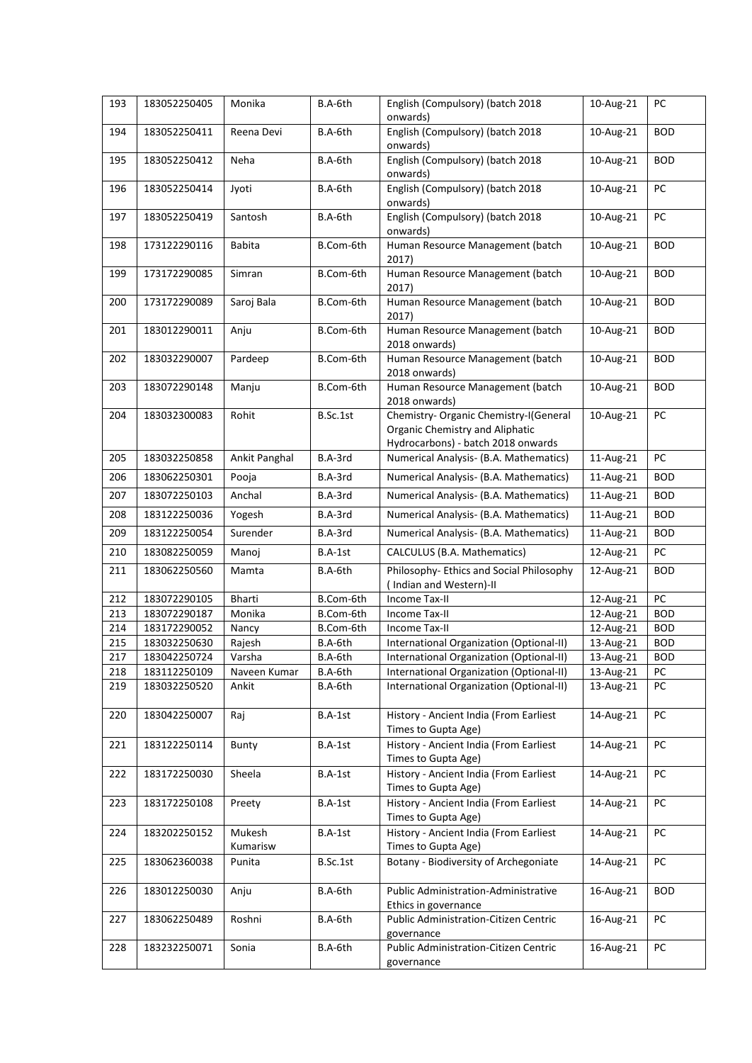| 193 | 183052250405 | Monika             | B.A-6th   | English (Compulsory) (batch 2018<br>onwards)                                                                    | 10-Aug-21 | PC         |
|-----|--------------|--------------------|-----------|-----------------------------------------------------------------------------------------------------------------|-----------|------------|
| 194 | 183052250411 | Reena Devi         | $B.A-6th$ | English (Compulsory) (batch 2018<br>onwards)                                                                    | 10-Aug-21 | <b>BOD</b> |
| 195 | 183052250412 | Neha               | B.A-6th   | English (Compulsory) (batch 2018<br>onwards)                                                                    | 10-Aug-21 | <b>BOD</b> |
| 196 | 183052250414 | Jyoti              | B.A-6th   | English (Compulsory) (batch 2018<br>onwards)                                                                    | 10-Aug-21 | PC         |
| 197 | 183052250419 | Santosh            | B.A-6th   | English (Compulsory) (batch 2018<br>onwards)                                                                    | 10-Aug-21 | PC         |
| 198 | 173122290116 | <b>Babita</b>      | B.Com-6th | Human Resource Management (batch<br>2017)                                                                       | 10-Aug-21 | <b>BOD</b> |
| 199 | 173172290085 | Simran             | B.Com-6th | Human Resource Management (batch<br>2017)                                                                       | 10-Aug-21 | <b>BOD</b> |
| 200 | 173172290089 | Saroj Bala         | B.Com-6th | Human Resource Management (batch<br>2017)                                                                       | 10-Aug-21 | <b>BOD</b> |
| 201 | 183012290011 | Anju               | B.Com-6th | Human Resource Management (batch<br>2018 onwards)                                                               | 10-Aug-21 | <b>BOD</b> |
| 202 | 183032290007 | Pardeep            | B.Com-6th | Human Resource Management (batch<br>2018 onwards)                                                               | 10-Aug-21 | <b>BOD</b> |
| 203 | 183072290148 | Manju              | B.Com-6th | Human Resource Management (batch<br>2018 onwards)                                                               | 10-Aug-21 | <b>BOD</b> |
| 204 | 183032300083 | Rohit              | B.Sc.1st  | Chemistry- Organic Chemistry-I(General<br>Organic Chemistry and Aliphatic<br>Hydrocarbons) - batch 2018 onwards | 10-Aug-21 | PC         |
| 205 | 183032250858 | Ankit Panghal      | B.A-3rd   | Numerical Analysis- (B.A. Mathematics)                                                                          | 11-Aug-21 | PC         |
| 206 | 183062250301 | Pooja              | B.A-3rd   | Numerical Analysis- (B.A. Mathematics)                                                                          | 11-Aug-21 | <b>BOD</b> |
| 207 | 183072250103 | Anchal             | B.A-3rd   | Numerical Analysis- (B.A. Mathematics)                                                                          | 11-Aug-21 | <b>BOD</b> |
| 208 | 183122250036 | Yogesh             | B.A-3rd   | Numerical Analysis- (B.A. Mathematics)                                                                          | 11-Aug-21 | <b>BOD</b> |
| 209 | 183122250054 | Surender           | B.A-3rd   | Numerical Analysis- (B.A. Mathematics)                                                                          | 11-Aug-21 | <b>BOD</b> |
| 210 | 183082250059 | Manoj              | B.A-1st   | CALCULUS (B.A. Mathematics)                                                                                     | 12-Aug-21 | PC         |
| 211 | 183062250560 | Mamta              | B.A-6th   | Philosophy- Ethics and Social Philosophy<br>(Indian and Western)-II                                             | 12-Aug-21 | <b>BOD</b> |
| 212 | 183072290105 | <b>Bharti</b>      | B.Com-6th | Income Tax-II                                                                                                   | 12-Aug-21 | PC         |
| 213 | 183072290187 | Monika             | B.Com-6th | Income Tax-II                                                                                                   | 12-Aug-21 | <b>BOD</b> |
| 214 | 183172290052 | Nancy              | B.Com-6th | Income Tax-II                                                                                                   | 12-Aug-21 | <b>BOD</b> |
| 215 | 183032250630 | Rajesh             | B.A-6th   | International Organization (Optional-II)                                                                        | 13-Aug-21 | <b>BOD</b> |
| 217 | 183042250724 | Varsha             | B.A-6th   | International Organization (Optional-II)                                                                        | 13-Aug-21 | <b>BOD</b> |
| 218 | 183112250109 | Naveen Kumar       | B.A-6th   | International Organization (Optional-II)                                                                        | 13-Aug-21 | PC         |
| 219 | 183032250520 | Ankit              | B.A-6th   | International Organization (Optional-II)                                                                        | 13-Aug-21 | PC         |
| 220 | 183042250007 | Raj                | B.A-1st   | History - Ancient India (From Earliest<br>Times to Gupta Age)                                                   | 14-Aug-21 | PC         |
| 221 | 183122250114 | Bunty              | B.A-1st   | History - Ancient India (From Earliest<br>Times to Gupta Age)                                                   | 14-Aug-21 | PC         |
| 222 | 183172250030 | Sheela             | B.A-1st   | History - Ancient India (From Earliest<br>Times to Gupta Age)                                                   | 14-Aug-21 | PC         |
| 223 | 183172250108 | Preety             | B.A-1st   | History - Ancient India (From Earliest<br>Times to Gupta Age)                                                   | 14-Aug-21 | PC         |
| 224 | 183202250152 | Mukesh<br>Kumarisw | B.A-1st   | History - Ancient India (From Earliest<br>Times to Gupta Age)                                                   | 14-Aug-21 | PC         |
| 225 | 183062360038 | Punita             | B.Sc.1st  | Botany - Biodiversity of Archegoniate                                                                           | 14-Aug-21 | PC         |
| 226 | 183012250030 | Anju               | B.A-6th   | Public Administration-Administrative<br>Ethics in governance                                                    | 16-Aug-21 | <b>BOD</b> |
| 227 | 183062250489 | Roshni             | B.A-6th   | Public Administration-Citizen Centric<br>governance                                                             | 16-Aug-21 | PC         |
| 228 | 183232250071 | Sonia              | B.A-6th   | Public Administration-Citizen Centric<br>governance                                                             | 16-Aug-21 | PC         |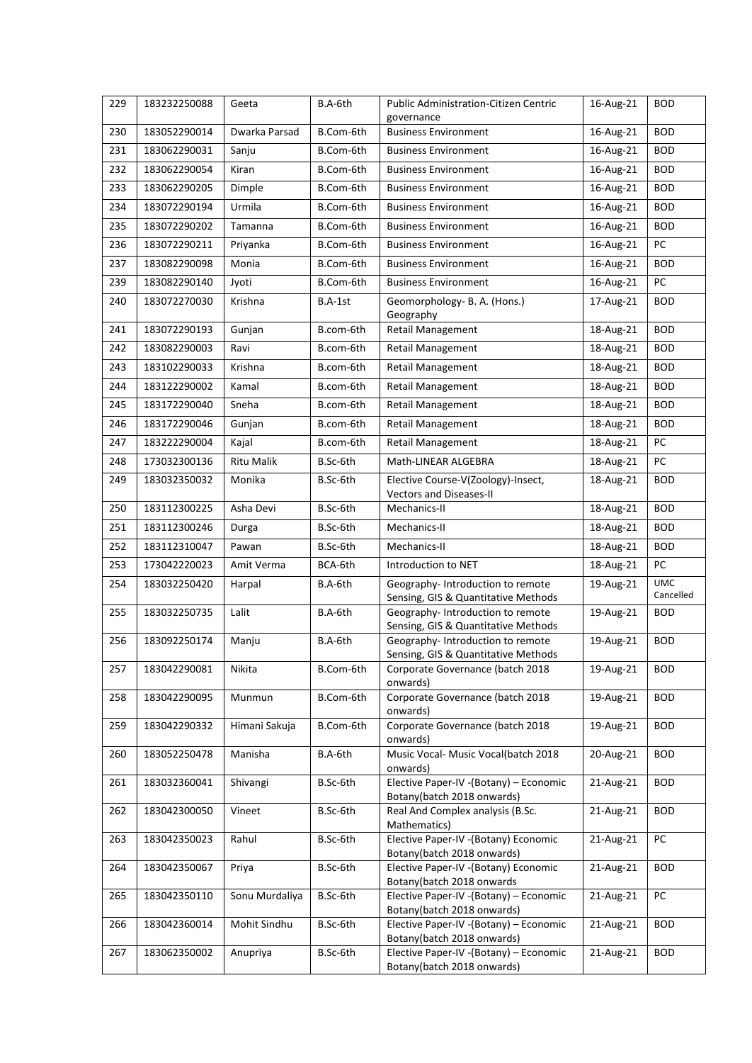| 229 | 183232250088 | Geeta          | B.A-6th   | <b>Public Administration-Citizen Centric</b><br>governance               | 16-Aug-21               | <b>BOD</b>              |
|-----|--------------|----------------|-----------|--------------------------------------------------------------------------|-------------------------|-------------------------|
| 230 | 183052290014 | Dwarka Parsad  | B.Com-6th | <b>Business Environment</b>                                              | 16-Aug-21               | <b>BOD</b>              |
| 231 | 183062290031 | Sanju          | B.Com-6th | <b>Business Environment</b>                                              | 16-Aug-21               | <b>BOD</b>              |
| 232 | 183062290054 | Kiran          | B.Com-6th | <b>Business Environment</b>                                              | $\overline{16}$ -Aug-21 | <b>BOD</b>              |
| 233 | 183062290205 | Dimple         | B.Com-6th | <b>Business Environment</b>                                              | 16-Aug-21               | <b>BOD</b>              |
| 234 | 183072290194 | Urmila         | B.Com-6th | <b>Business Environment</b>                                              | 16-Aug-21               | <b>BOD</b>              |
| 235 | 183072290202 | Tamanna        | B.Com-6th | <b>Business Environment</b>                                              | 16-Aug-21               | <b>BOD</b>              |
| 236 | 183072290211 | Priyanka       | B.Com-6th | <b>Business Environment</b>                                              | 16-Aug-21               | PC                      |
| 237 | 183082290098 | Monia          | B.Com-6th | <b>Business Environment</b>                                              | 16-Aug-21               | <b>BOD</b>              |
| 239 | 183082290140 | Jyoti          | B.Com-6th | <b>Business Environment</b>                                              | 16-Aug-21               | PC                      |
| 240 | 183072270030 | Krishna        | B.A-1st   | Geomorphology- B. A. (Hons.)<br>Geography                                | 17-Aug-21               | <b>BOD</b>              |
| 241 | 183072290193 | Gunjan         | B.com-6th | Retail Management                                                        | 18-Aug-21               | <b>BOD</b>              |
| 242 | 183082290003 | Ravi           | B.com-6th | <b>Retail Management</b>                                                 | 18-Aug-21               | <b>BOD</b>              |
| 243 | 183102290033 | Krishna        | B.com-6th | Retail Management                                                        | 18-Aug-21               | <b>BOD</b>              |
| 244 | 183122290002 | Kamal          | B.com-6th | Retail Management                                                        | 18-Aug-21               | <b>BOD</b>              |
| 245 | 183172290040 | Sneha          | B.com-6th | Retail Management                                                        | 18-Aug-21               | <b>BOD</b>              |
| 246 | 183172290046 | Gunjan         | B.com-6th | Retail Management                                                        | 18-Aug-21               | <b>BOD</b>              |
| 247 | 183222290004 | Kajal          | B.com-6th | Retail Management                                                        | 18-Aug-21               | PC                      |
| 248 | 173032300136 | Ritu Malik     | B.Sc-6th  | Math-LINEAR ALGEBRA                                                      | 18-Aug-21               | PC                      |
| 249 | 183032350032 | Monika         | B.Sc-6th  | Elective Course-V(Zoology)-Insect,<br>Vectors and Diseases-II            | 18-Aug-21               | <b>BOD</b>              |
| 250 | 183112300225 | Asha Devi      | B.Sc-6th  | Mechanics-II                                                             | 18-Aug-21               | <b>BOD</b>              |
| 251 | 183112300246 | Durga          | B.Sc-6th  | Mechanics-II                                                             | 18-Aug-21               | <b>BOD</b>              |
| 252 | 183112310047 | Pawan          | B.Sc-6th  | Mechanics-II                                                             | 18-Aug-21               | <b>BOD</b>              |
| 253 | 173042220023 | Amit Verma     | BCA-6th   | Introduction to NET                                                      | 18-Aug-21               | PC                      |
| 254 | 183032250420 | Harpal         | B.A-6th   | Geography-Introduction to remote<br>Sensing, GIS & Quantitative Methods  | 19-Aug-21               | <b>UMC</b><br>Cancelled |
| 255 | 183032250735 | Lalit          | B.A-6th   | Geography- Introduction to remote<br>Sensing, GIS & Quantitative Methods | 19-Aug-21               | <b>BOD</b>              |
| 256 | 183092250174 | Manju          | B.A-6th   | Geography- Introduction to remote<br>Sensing, GIS & Quantitative Methods | 19-Aug-21               | <b>BOD</b>              |
| 257 | 183042290081 | Nikita         | B.Com-6th | Corporate Governance (batch 2018<br>onwards)                             | 19-Aug-21               | <b>BOD</b>              |
| 258 | 183042290095 | Munmun         | B.Com-6th | Corporate Governance (batch 2018<br>onwards)                             | 19-Aug-21               | <b>BOD</b>              |
| 259 | 183042290332 | Himani Sakuja  | B.Com-6th | Corporate Governance (batch 2018<br>onwards)                             | 19-Aug-21               | <b>BOD</b>              |
| 260 | 183052250478 | Manisha        | B.A-6th   | Music Vocal- Music Vocal(batch 2018<br>onwards)                          | 20-Aug-21               | <b>BOD</b>              |
| 261 | 183032360041 | Shivangi       | B.Sc-6th  | Elective Paper-IV -(Botany) - Economic<br>Botany(batch 2018 onwards)     | 21-Aug-21               | <b>BOD</b>              |
| 262 | 183042300050 | Vineet         | B.Sc-6th  | Real And Complex analysis (B.Sc.<br>Mathematics)                         | 21-Aug-21               | <b>BOD</b>              |
| 263 | 183042350023 | Rahul          | B.Sc-6th  | Elective Paper-IV -(Botany) Economic<br>Botany(batch 2018 onwards)       | 21-Aug-21               | PC                      |
| 264 | 183042350067 | Priya          | B.Sc-6th  | Elective Paper-IV - (Botany) Economic<br>Botany(batch 2018 onwards       | 21-Aug-21               | <b>BOD</b>              |
| 265 | 183042350110 | Sonu Murdaliya | B.Sc-6th  | Elective Paper-IV - (Botany) - Economic<br>Botany(batch 2018 onwards)    | 21-Aug-21               | PC                      |
| 266 | 183042360014 | Mohit Sindhu   | B.Sc-6th  | Elective Paper-IV - (Botany) - Economic<br>Botany(batch 2018 onwards)    | 21-Aug-21               | <b>BOD</b>              |
| 267 | 183062350002 | Anupriya       | B.Sc-6th  | Elective Paper-IV - (Botany) - Economic<br>Botany(batch 2018 onwards)    | 21-Aug-21               | <b>BOD</b>              |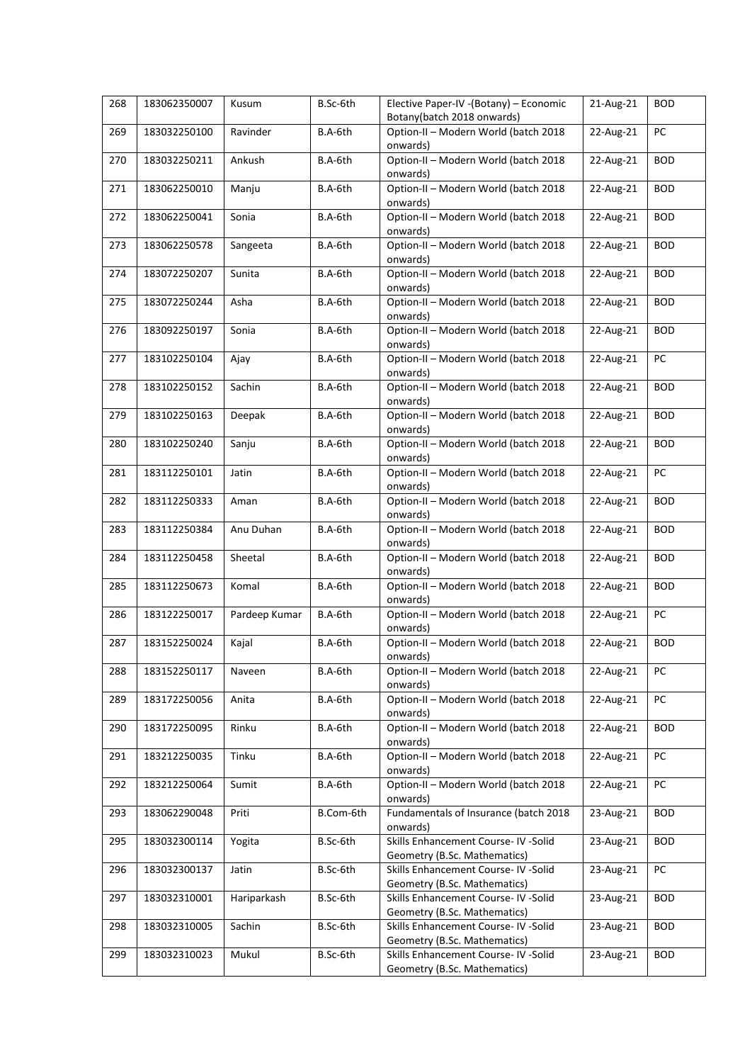| 268 | 183062350007 | Kusum         | B.Sc-6th  | Elective Paper-IV - (Botany) - Economic<br>Botany(batch 2018 onwards) | 21-Aug-21 | <b>BOD</b> |
|-----|--------------|---------------|-----------|-----------------------------------------------------------------------|-----------|------------|
| 269 | 183032250100 | Ravinder      | B.A-6th   | Option-II - Modern World (batch 2018<br>onwards)                      | 22-Aug-21 | PC         |
| 270 | 183032250211 | Ankush        | B.A-6th   | Option-II - Modern World (batch 2018<br>onwards)                      | 22-Aug-21 | <b>BOD</b> |
| 271 | 183062250010 | Manju         | B.A-6th   | Option-II - Modern World (batch 2018<br>onwards)                      | 22-Aug-21 | <b>BOD</b> |
| 272 | 183062250041 | Sonia         | B.A-6th   | Option-II - Modern World (batch 2018<br>onwards)                      | 22-Aug-21 | <b>BOD</b> |
| 273 | 183062250578 | Sangeeta      | B.A-6th   | Option-II - Modern World (batch 2018<br>onwards)                      | 22-Aug-21 | <b>BOD</b> |
| 274 | 183072250207 | Sunita        | B.A-6th   | Option-II - Modern World (batch 2018<br>onwards)                      | 22-Aug-21 | <b>BOD</b> |
| 275 | 183072250244 | Asha          | B.A-6th   | Option-II - Modern World (batch 2018<br>onwards)                      | 22-Aug-21 | <b>BOD</b> |
| 276 | 183092250197 | Sonia         | B.A-6th   | Option-II - Modern World (batch 2018<br>onwards)                      | 22-Aug-21 | <b>BOD</b> |
| 277 | 183102250104 | Ajay          | B.A-6th   | Option-II - Modern World (batch 2018<br>onwards)                      | 22-Aug-21 | PC         |
| 278 | 183102250152 | Sachin        | B.A-6th   | Option-II - Modern World (batch 2018<br>onwards)                      | 22-Aug-21 | <b>BOD</b> |
| 279 | 183102250163 | Deepak        | B.A-6th   | Option-II - Modern World (batch 2018<br>onwards)                      | 22-Aug-21 | <b>BOD</b> |
| 280 | 183102250240 | Sanju         | B.A-6th   | Option-II - Modern World (batch 2018<br>onwards)                      | 22-Aug-21 | <b>BOD</b> |
| 281 | 183112250101 | Jatin         | B.A-6th   | Option-II - Modern World (batch 2018<br>onwards)                      | 22-Aug-21 | PC         |
| 282 | 183112250333 | Aman          | B.A-6th   | Option-II - Modern World (batch 2018<br>onwards)                      | 22-Aug-21 | <b>BOD</b> |
| 283 | 183112250384 | Anu Duhan     | B.A-6th   | Option-II - Modern World (batch 2018<br>onwards)                      | 22-Aug-21 | <b>BOD</b> |
| 284 | 183112250458 | Sheetal       | B.A-6th   | Option-II - Modern World (batch 2018<br>onwards)                      | 22-Aug-21 | <b>BOD</b> |
| 285 | 183112250673 | Komal         | B.A-6th   | Option-II - Modern World (batch 2018<br>onwards)                      | 22-Aug-21 | <b>BOD</b> |
| 286 | 183122250017 | Pardeep Kumar | B.A-6th   | Option-II - Modern World (batch 2018<br>onwards)                      | 22-Aug-21 | PC         |
| 287 | 183152250024 | Kajal         | B.A-6th   | Option-II - Modern World (batch 2018<br>onwards)                      | 22-Aug-21 | <b>BOD</b> |
| 288 | 183152250117 | Naveen        | B.A-6th   | Option-II - Modern World (batch 2018<br>onwards)                      | 22-Aug-21 | PC         |
| 289 | 183172250056 | Anita         | B.A-6th   | Option-II - Modern World (batch 2018<br>onwards)                      | 22-Aug-21 | PC         |
| 290 | 183172250095 | Rinku         | B.A-6th   | Option-II - Modern World (batch 2018<br>onwards)                      | 22-Aug-21 | <b>BOD</b> |
| 291 | 183212250035 | Tinku         | B.A-6th   | Option-II - Modern World (batch 2018<br>onwards)                      | 22-Aug-21 | PC         |
| 292 | 183212250064 | Sumit         | B.A-6th   | Option-II - Modern World (batch 2018<br>onwards)                      | 22-Aug-21 | PC         |
| 293 | 183062290048 | Priti         | B.Com-6th | Fundamentals of Insurance (batch 2018<br>onwards)                     | 23-Aug-21 | <b>BOD</b> |
| 295 | 183032300114 | Yogita        | B.Sc-6th  | Skills Enhancement Course- IV -Solid<br>Geometry (B.Sc. Mathematics)  | 23-Aug-21 | <b>BOD</b> |
| 296 | 183032300137 | Jatin         | B.Sc-6th  | Skills Enhancement Course- IV -Solid<br>Geometry (B.Sc. Mathematics)  | 23-Aug-21 | PC         |
| 297 | 183032310001 | Hariparkash   | B.Sc-6th  | Skills Enhancement Course- IV -Solid<br>Geometry (B.Sc. Mathematics)  | 23-Aug-21 | <b>BOD</b> |
| 298 | 183032310005 | Sachin        | B.Sc-6th  | Skills Enhancement Course- IV -Solid<br>Geometry (B.Sc. Mathematics)  | 23-Aug-21 | <b>BOD</b> |
| 299 | 183032310023 | Mukul         | B.Sc-6th  | Skills Enhancement Course- IV -Solid<br>Geometry (B.Sc. Mathematics)  | 23-Aug-21 | <b>BOD</b> |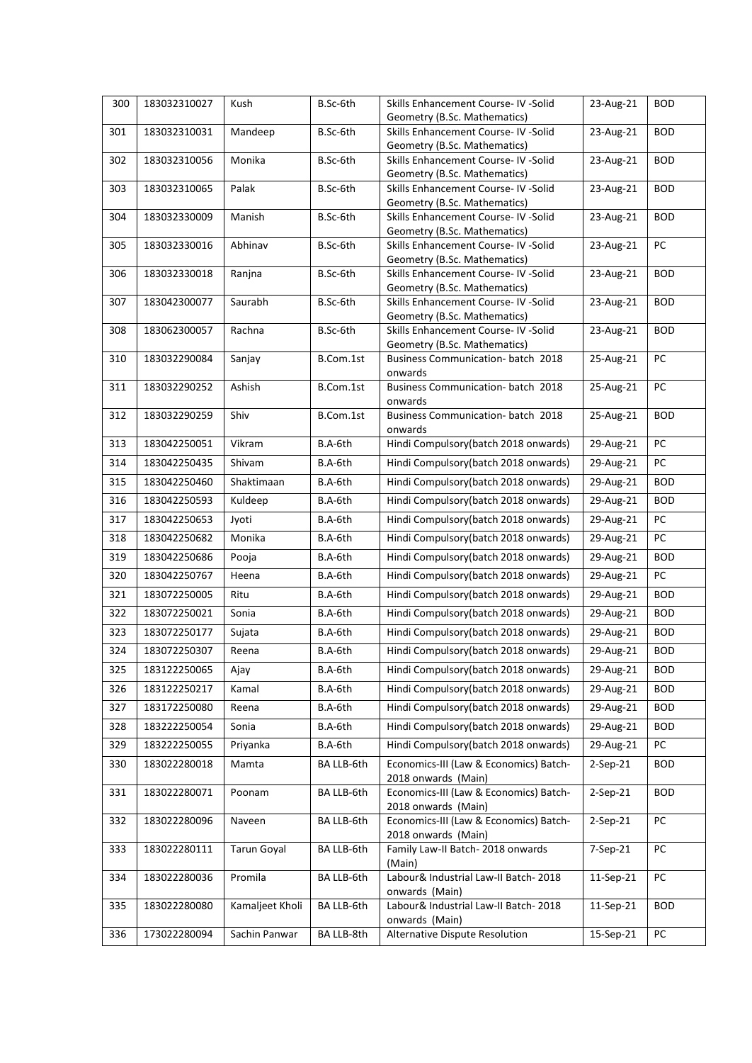| 300 | 183032310027 | Kush               | B.Sc-6th   | Skills Enhancement Course- IV -Solid<br>Geometry (B.Sc. Mathematics) | 23-Aug-21  | <b>BOD</b> |
|-----|--------------|--------------------|------------|----------------------------------------------------------------------|------------|------------|
| 301 | 183032310031 | Mandeep            | B.Sc-6th   | Skills Enhancement Course- IV -Solid                                 | 23-Aug-21  | <b>BOD</b> |
|     |              |                    |            | Geometry (B.Sc. Mathematics)                                         |            |            |
| 302 | 183032310056 | Monika             | B.Sc-6th   | Skills Enhancement Course- IV -Solid                                 | 23-Aug-21  | <b>BOD</b> |
|     |              |                    |            | Geometry (B.Sc. Mathematics)                                         |            |            |
| 303 | 183032310065 | Palak              | B.Sc-6th   | Skills Enhancement Course- IV -Solid                                 | 23-Aug-21  | <b>BOD</b> |
| 304 | 183032330009 | Manish             | B.Sc-6th   | Geometry (B.Sc. Mathematics)<br>Skills Enhancement Course- IV -Solid | 23-Aug-21  | <b>BOD</b> |
|     |              |                    |            | Geometry (B.Sc. Mathematics)                                         |            |            |
| 305 | 183032330016 | Abhinav            | B.Sc-6th   | Skills Enhancement Course- IV -Solid                                 | 23-Aug-21  | PC         |
|     |              |                    |            | Geometry (B.Sc. Mathematics)                                         |            |            |
| 306 | 183032330018 | Ranjna             | B.Sc-6th   | Skills Enhancement Course- IV -Solid<br>Geometry (B.Sc. Mathematics) | 23-Aug-21  | <b>BOD</b> |
| 307 | 183042300077 | Saurabh            | B.Sc-6th   | Skills Enhancement Course- IV -Solid                                 | 23-Aug-21  | <b>BOD</b> |
|     |              |                    |            | Geometry (B.Sc. Mathematics)                                         |            |            |
| 308 | 183062300057 | Rachna             | B.Sc-6th   | Skills Enhancement Course- IV -Solid                                 | 23-Aug-21  | <b>BOD</b> |
|     |              |                    |            | Geometry (B.Sc. Mathematics)                                         |            |            |
| 310 | 183032290084 | Sanjay             | B.Com.1st  | Business Communication- batch 2018<br>onwards                        | 25-Aug-21  | PC         |
| 311 | 183032290252 | Ashish             | B.Com.1st  | Business Communication- batch 2018                                   | 25-Aug-21  | PC         |
|     |              |                    |            | onwards                                                              |            |            |
| 312 | 183032290259 | Shiv               | B.Com.1st  | Business Communication- batch 2018                                   | 25-Aug-21  | <b>BOD</b> |
| 313 | 183042250051 | Vikram             | B.A-6th    | onwards<br>Hindi Compulsory(batch 2018 onwards)                      | 29-Aug-21  | PC         |
| 314 | 183042250435 | Shivam             | B.A-6th    | Hindi Compulsory(batch 2018 onwards)                                 | 29-Aug-21  | PC         |
|     |              |                    |            |                                                                      |            |            |
| 315 | 183042250460 | Shaktimaan         | B.A-6th    | Hindi Compulsory(batch 2018 onwards)                                 | 29-Aug-21  | <b>BOD</b> |
| 316 | 183042250593 | Kuldeep            | B.A-6th    | Hindi Compulsory(batch 2018 onwards)                                 | 29-Aug-21  | <b>BOD</b> |
| 317 | 183042250653 | Jyoti              | B.A-6th    | Hindi Compulsory(batch 2018 onwards)                                 | 29-Aug-21  | PC         |
| 318 | 183042250682 | Monika             | B.A-6th    | Hindi Compulsory(batch 2018 onwards)                                 | 29-Aug-21  | PC         |
| 319 | 183042250686 | Pooja              | B.A-6th    | Hindi Compulsory(batch 2018 onwards)                                 | 29-Aug-21  | <b>BOD</b> |
| 320 | 183042250767 | Heena              | B.A-6th    | Hindi Compulsory(batch 2018 onwards)                                 | 29-Aug-21  | PC         |
| 321 | 183072250005 | Ritu               | B.A-6th    | Hindi Compulsory(batch 2018 onwards)                                 | 29-Aug-21  | <b>BOD</b> |
| 322 | 183072250021 | Sonia              | B.A-6th    | Hindi Compulsory(batch 2018 onwards)                                 | 29-Aug-21  | <b>BOD</b> |
| 323 | 183072250177 | Sujata             | B.A-6th    | Hindi Compulsory(batch 2018 onwards)                                 | 29-Aug-21  | <b>BOD</b> |
| 324 | 183072250307 | Reena              | B.A-6th    | Hindi Compulsory(batch 2018 onwards)                                 | 29-Aug-21  | <b>BOD</b> |
| 325 | 183122250065 | Ajay               | B.A-6th    | Hindi Compulsory(batch 2018 onwards)                                 | 29-Aug-21  | <b>BOD</b> |
| 326 | 183122250217 | Kamal              | B.A-6th    | Hindi Compulsory(batch 2018 onwards)                                 | 29-Aug-21  | <b>BOD</b> |
| 327 | 183172250080 | Reena              | B.A-6th    | Hindi Compulsory(batch 2018 onwards)                                 | 29-Aug-21  | <b>BOD</b> |
| 328 | 183222250054 | Sonia              | B.A-6th    | Hindi Compulsory(batch 2018 onwards)                                 | 29-Aug-21  | <b>BOD</b> |
|     |              |                    |            |                                                                      |            |            |
| 329 | 183222250055 | Priyanka           | B.A-6th    | Hindi Compulsory(batch 2018 onwards)                                 | 29-Aug-21  | PC         |
| 330 | 183022280018 | Mamta              | BA LLB-6th | Economics-III (Law & Economics) Batch-<br>2018 onwards (Main)        | $2-Sep-21$ | <b>BOD</b> |
| 331 | 183022280071 | Poonam             | BA LLB-6th | Economics-III (Law & Economics) Batch-                               | 2-Sep-21   | <b>BOD</b> |
|     |              |                    |            | 2018 onwards (Main)                                                  |            |            |
| 332 | 183022280096 | Naveen             | BA LLB-6th | Economics-III (Law & Economics) Batch-                               | $2-Sep-21$ | PC         |
| 333 | 183022280111 | <b>Tarun Goyal</b> | BA LLB-6th | 2018 onwards (Main)<br>Family Law-II Batch-2018 onwards              | 7-Sep-21   | PC         |
|     |              |                    |            | (Main)                                                               |            |            |
| 334 | 183022280036 | Promila            | BA LLB-6th | Labour& Industrial Law-II Batch-2018                                 | 11-Sep-21  | PC         |
|     |              |                    |            | onwards (Main)                                                       |            |            |
| 335 | 183022280080 | Kamaljeet Kholi    | BA LLB-6th | Labour& Industrial Law-II Batch-2018<br>onwards (Main)               | 11-Sep-21  | <b>BOD</b> |
| 336 | 173022280094 | Sachin Panwar      | BA LLB-8th | Alternative Dispute Resolution                                       | 15-Sep-21  | PC         |
|     |              |                    |            |                                                                      |            |            |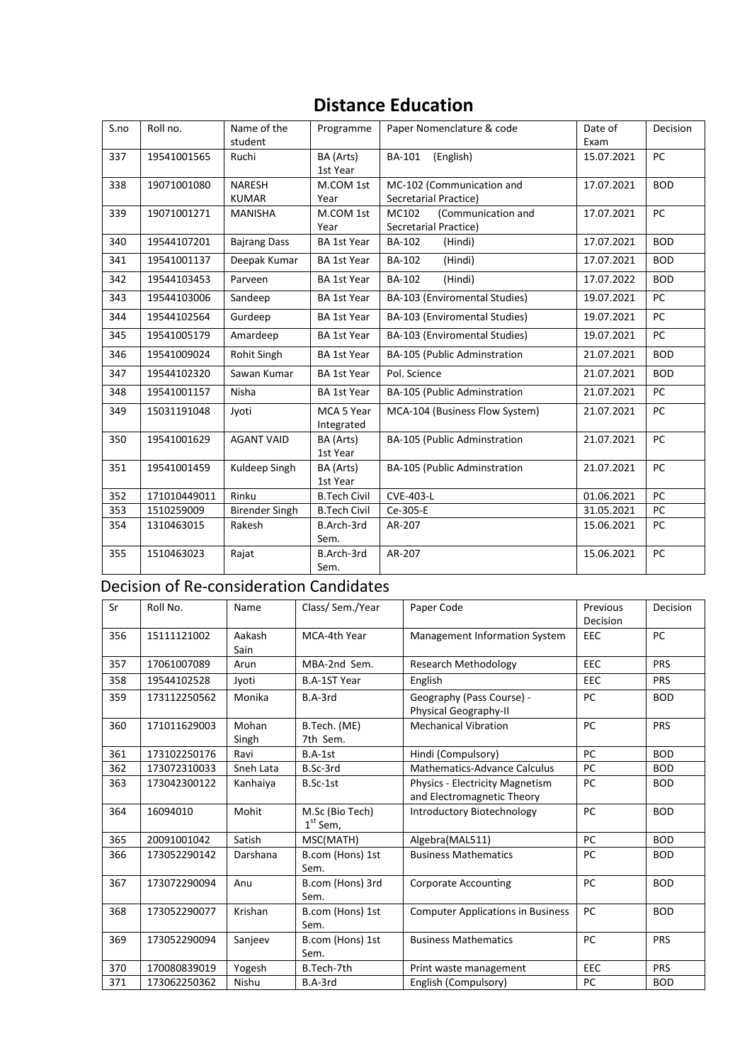# **Distance Education**

| S.no | Roll no.     | Name of the<br>student        | Programme                | Paper Nomenclature & code                            | Date of<br>Exam | Decision   |
|------|--------------|-------------------------------|--------------------------|------------------------------------------------------|-----------------|------------|
| 337  | 19541001565  | Ruchi                         | BA (Arts)<br>1st Year    | <b>BA-101</b><br>(English)                           | 15.07.2021      | <b>PC</b>  |
| 338  | 19071001080  | <b>NARESH</b><br><b>KUMAR</b> | M.COM 1st<br>Year        | MC-102 (Communication and<br>Secretarial Practice)   | 17.07.2021      | <b>BOD</b> |
| 339  | 19071001271  | <b>MANISHA</b>                | M.COM 1st<br>Year        | (Communication and<br>MC102<br>Secretarial Practice) | 17.07.2021      | PC         |
| 340  | 19544107201  | <b>Bajrang Dass</b>           | <b>BA 1st Year</b>       | <b>BA-102</b><br>(Hindi)                             | 17.07.2021      | <b>BOD</b> |
| 341  | 19541001137  | Deepak Kumar                  | <b>BA 1st Year</b>       | <b>BA-102</b><br>(Hindi)                             | 17.07.2021      | <b>BOD</b> |
| 342  | 19544103453  | Parveen                       | <b>BA 1st Year</b>       | BA-102<br>(Hindi)                                    | 17.07.2022      | <b>BOD</b> |
| 343  | 19544103006  | Sandeep                       | <b>BA 1st Year</b>       | BA-103 (Enviromental Studies)                        | 19.07.2021      | PC         |
| 344  | 19544102564  | Gurdeep                       | <b>BA 1st Year</b>       | BA-103 (Enviromental Studies)                        | 19.07.2021      | PC         |
| 345  | 19541005179  | Amardeep                      | <b>BA 1st Year</b>       | BA-103 (Enviromental Studies)                        | 19.07.2021      | PC         |
| 346  | 19541009024  | Rohit Singh                   | <b>BA 1st Year</b>       | BA-105 (Public Adminstration                         | 21.07.2021      | <b>BOD</b> |
| 347  | 19544102320  | Sawan Kumar                   | <b>BA 1st Year</b>       | Pol. Science                                         | 21.07.2021      | <b>BOD</b> |
| 348  | 19541001157  | Nisha                         | <b>BA 1st Year</b>       | BA-105 (Public Adminstration                         | 21.07.2021      | PC         |
| 349  | 15031191048  | Jyoti                         | MCA 5 Year<br>Integrated | MCA-104 (Business Flow System)                       | 21.07.2021      | <b>PC</b>  |
| 350  | 19541001629  | <b>AGANT VAID</b>             | BA (Arts)<br>1st Year    | BA-105 (Public Adminstration                         | 21.07.2021      | PC         |
| 351  | 19541001459  | Kuldeep Singh                 | BA (Arts)<br>1st Year    | BA-105 (Public Adminstration                         | 21.07.2021      | PC         |
| 352  | 171010449011 | Rinku                         | <b>B.Tech Civil</b>      | <b>CVE-403-L</b>                                     | 01.06.2021      | PC         |
| 353  | 1510259009   | <b>Birender Singh</b>         | <b>B.Tech Civil</b>      | Ce-305-E                                             | 31.05.2021      | PC         |
| 354  | 1310463015   | Rakesh                        | B.Arch-3rd<br>Sem.       | AR-207                                               | 15.06.2021      | <b>PC</b>  |
| 355  | 1510463023   | Rajat                         | B.Arch-3rd<br>Sem.       | AR-207                                               | 15.06.2021      | PC         |

## Decision of Re-consideration Candidates

| Sr  | Roll No.     | Name           | Class/Sem./Year               | Paper Code                                                    | Previous<br>Decision | Decision   |
|-----|--------------|----------------|-------------------------------|---------------------------------------------------------------|----------------------|------------|
| 356 | 15111121002  | Aakash<br>Sain | MCA-4th Year                  | Management Information System                                 | EEC                  | PC.        |
| 357 | 17061007089  | Arun           | MBA-2nd Sem.                  | <b>Research Methodology</b>                                   | <b>EEC</b>           | <b>PRS</b> |
| 358 | 19544102528  | Jyoti          | <b>B.A-1ST Year</b>           | English                                                       | <b>EEC</b>           | <b>PRS</b> |
| 359 | 173112250562 | Monika         | B.A-3rd                       | Geography (Pass Course) -<br>Physical Geography-II            | <b>PC</b>            | <b>BOD</b> |
| 360 | 171011629003 | Mohan<br>Singh | B.Tech. (ME)<br>7th Sem.      | <b>Mechanical Vibration</b>                                   | <b>PC</b>            | <b>PRS</b> |
| 361 | 173102250176 | Ravi           | $B.A-1st$                     | Hindi (Compulsory)                                            | <b>PC</b>            | <b>BOD</b> |
| 362 | 173072310033 | Sneh Lata      | B.Sc-3rd                      | <b>Mathematics-Advance Calculus</b>                           | PC                   | <b>BOD</b> |
| 363 | 173042300122 | Kanhaiya       | B.Sc-1st                      | Physics - Electricity Magnetism<br>and Electromagnetic Theory | PC                   | <b>BOD</b> |
| 364 | 16094010     | Mohit          | M.Sc (Bio Tech)<br>$1st$ Sem, | Introductory Biotechnology                                    | PC                   | <b>BOD</b> |
| 365 | 20091001042  | Satish         | MSC(MATH)                     | Algebra(MAL511)                                               | <b>PC</b>            | <b>BOD</b> |
| 366 | 173052290142 | Darshana       | B.com (Hons) 1st<br>Sem.      | <b>Business Mathematics</b>                                   | <b>PC</b>            | <b>BOD</b> |
| 367 | 173072290094 | Anu            | B.com (Hons) 3rd<br>Sem.      | <b>Corporate Accounting</b>                                   | <b>PC</b>            | <b>BOD</b> |
| 368 | 173052290077 | Krishan        | B.com (Hons) 1st<br>Sem.      | <b>Computer Applications in Business</b>                      | PC                   | <b>BOD</b> |
| 369 | 173052290094 | Sanjeev        | B.com (Hons) 1st<br>Sem.      | <b>Business Mathematics</b>                                   | <b>PC</b>            | <b>PRS</b> |
| 370 | 170080839019 | Yogesh         | B.Tech-7th                    | Print waste management                                        | EEC                  | <b>PRS</b> |
| 371 | 173062250362 | Nishu          | B.A-3rd                       | English (Compulsory)                                          | PC                   | <b>BOD</b> |